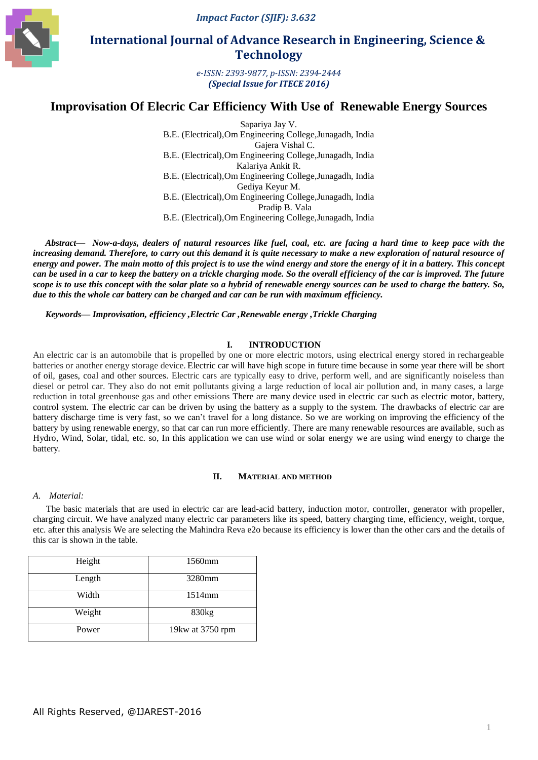*Impact Factor (SJIF): 3.632*



# **International Journal of Advance Research in Engineering, Science & Technology**

*e-ISSN: 2393-9877, p-ISSN: 2394-2444 (Special Issue for ITECE 2016)*

# **Improvisation Of Elecric Car Efficiency With Use of Renewable Energy Sources**

Sapariya Jay V. B.E. (Electrical),Om Engineering College,Junagadh, India Gajera Vishal C. B.E. (Electrical),Om Engineering College,Junagadh, India Kalariya Ankit R. B.E. (Electrical),Om Engineering College,Junagadh, India Gediya Keyur M. B.E. (Electrical),Om Engineering College,Junagadh, India Pradip B. Vala B.E. (Electrical),Om Engineering College,Junagadh, India

*Abstract***—** *Now-a-days, dealers of natural resources like fuel, coal, etc. are facing a hard time to keep pace with the increasing demand. Therefore, to carry out this demand it is quite necessary to make a new exploration of natural resource of energy and power. The main motto of this project is to use the wind energy and store the energy of it in a battery. This concept can be used in a car to keep the battery on a trickle charging mode. So the overall efficiency of the car is improved. The future scope is to use this concept with the solar plate so a hybrid of renewable energy sources can be used to charge the battery. So, due to this the whole car battery can be charged and car can be run with maximum efficiency.*

*Keywords— Improvisation, efficiency ,Electric Car ,Renewable energy ,Trickle Charging*

### **I. INTRODUCTION**

An electric car is an automobile that is propelled by one or more electric motors, using electrical energy stored in rechargeable batteries or another energy storage device. Electric car will have high scope in future time because in some year there will be short of oil, gases, coal and other sources. Electric cars are typically easy to drive, perform well, and are significantly noiseless than diesel or petrol car. They also do not emit pollutants giving a large reduction of local air pollution and, in many cases, a large reduction in total greenhouse gas and other emissions There are many device used in electric car such as electric motor, battery, control system. The electric car can be driven by using the battery as a supply to the system. The drawbacks of electric car are battery discharge time is very fast, so we can't travel for a long distance. So we are working on improving the efficiency of the battery by using renewable energy, so that car can run more efficiently. There are many renewable resources are available, such as Hydro, Wind, Solar, tidal, etc. so, In this application we can use wind or solar energy we are using wind energy to charge the battery.

#### **II. MATERIAL AND METHOD**

#### *A. Material:*

The basic materials that are used in electric car are lead-acid battery, induction motor, controller, generator with propeller, charging circuit. We have analyzed many electric car parameters like its speed, battery charging time, efficiency, weight, torque, etc. after this analysis We are selecting the Mahindra Reva e2o because its efficiency is lower than the other cars and the details of this car is shown in the table.

| Height | 1560mm           |  |
|--------|------------------|--|
| Length | 3280mm           |  |
| Width  | 1514mm           |  |
| Weight | 830kg            |  |
| Power  | 19kw at 3750 rpm |  |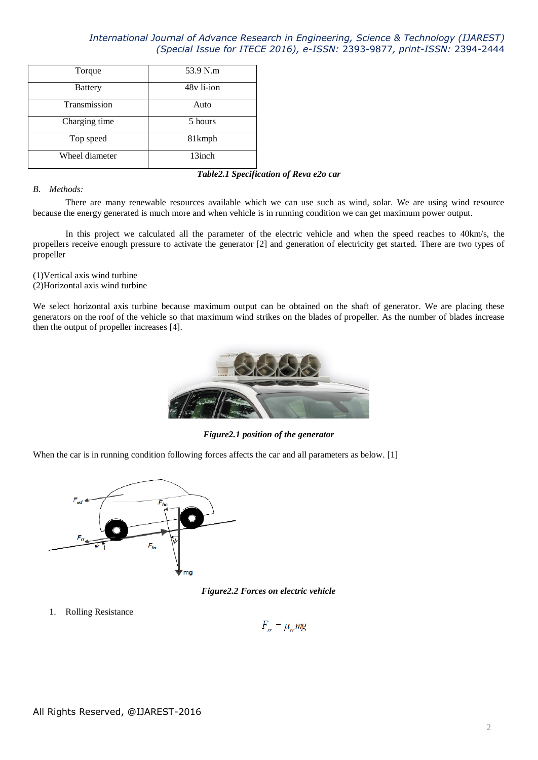| Torque         | 53.9 N.m           |
|----------------|--------------------|
| <b>Battery</b> | 48y li-ion         |
| Transmission   | Auto               |
| Charging time  | 5 hours            |
| Top speed      | 81 <sub>kmph</sub> |
| Wheel diameter | 13inch             |

### *Table2.1 Specification of Reva e2o car*

### *B. Methods:*

There are many renewable resources available which we can use such as wind, solar. We are using wind resource because the energy generated is much more and when vehicle is in running condition we can get maximum power output.

In this project we calculated all the parameter of the electric vehicle and when the speed reaches to 40km/s, the propellers receive enough pressure to activate the generator [2] and generation of electricity get started. There are two types of propeller

(1)Vertical axis wind turbine (2)Horizontal axis wind turbine

We select horizontal axis turbine because maximum output can be obtained on the shaft of generator. We are placing these generators on the roof of the vehicle so that maximum wind strikes on the blades of propeller. As the number of blades increase then the output of propeller increases [4].



*Figure2.1 position of the generator*

When the car is in running condition following forces affects the car and all parameters as below. [1]



*Figure2.2 Forces on electric vehicle*

1. Rolling Resistance

$$
F_{rr} = \mu_{rr} mg
$$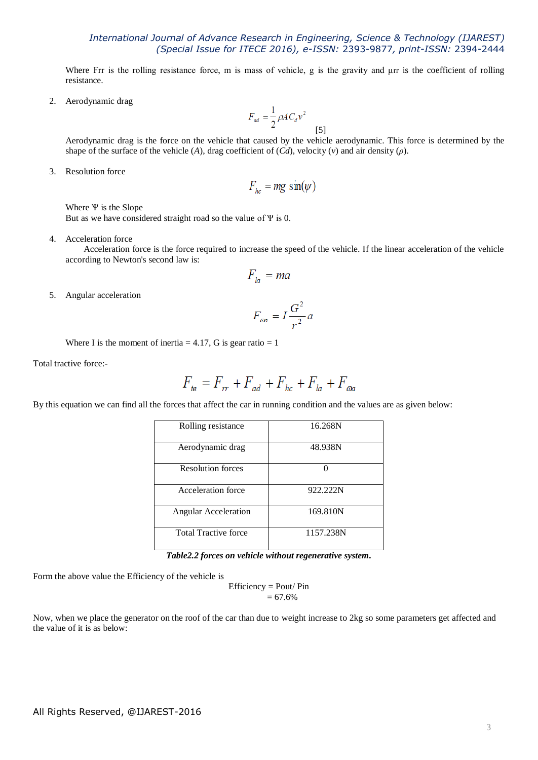Where Frr is the rolling resistance force, m is mass of vehicle, g is the gravity and μrr is the coefficient of rolling resistance.

2. Aerodynamic drag

$$
F_{ad} = \frac{1}{2} \rho A C_d v^2
$$

Aerodynamic drag is the force on the vehicle that caused by the vehicle aerodynamic. This force is determined by the shape of the surface of the vehicle (*A*), drag coefficient of  $(Cd)$ , velocity (*v*) and air density (*ρ*).

[5]

3. Resolution force

$$
F_{hc} = mg \sin(\psi)
$$

Where  $\Psi$  is the Slope But as we have considered straight road so the value of  $\Psi$  is 0.

4. Acceleration force

 Acceleration force is the force required to increase the speed of the vehicle. If the linear acceleration of the vehicle according to Newton's second law is:

$$
F_{la} = ma
$$

5. Angular acceleration

$$
F_{\alpha a} = I \frac{G^2}{r^2} a
$$

Where I is the moment of inertia  $= 4.17$ , G is gear ratio  $= 1$ 

Total tractive force:-

$$
F_{te} = F_{rr} + F_{ad} + F_{hc} + F_{la} + F_{\omega a}
$$

By this equation we can find all the forces that affect the car in running condition and the values are as given below:

| Rolling resistance          | 16.268N   |
|-----------------------------|-----------|
| Aerodynamic drag            | 48.938N   |
| <b>Resolution forces</b>    |           |
| Acceleration force          | 922.222N  |
| <b>Angular Acceleration</b> | 169.810N  |
| <b>Total Tractive force</b> | 1157.238N |

*Table2.2 forces on vehicle without regenerative system.*

Form the above value the Efficiency of the vehicle is

Efficiency = Pout/ Pin  $= 67.6%$ 

Now, when we place the generator on the roof of the car than due to weight increase to 2kg so some parameters get affected and the value of it is as below: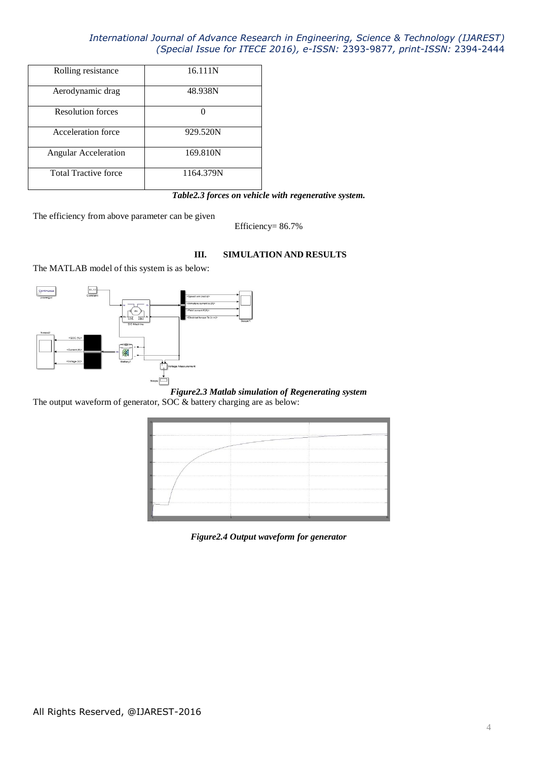| Rolling resistance          | 16.111N   |
|-----------------------------|-----------|
| Aerodynamic drag            | 48.938N   |
| <b>Resolution forces</b>    |           |
| Acceleration force          | 929.520N  |
| <b>Angular Acceleration</b> | 169.810N  |
| <b>Total Tractive force</b> | 1164.379N |

## *Table2.3 forces on vehicle with regenerative system.*

The efficiency from above parameter can be given

Efficiency= 86.7%

### **III. SIMULATION AND RESULTS**

The MATLAB model of this system is as below:



*Figure2.3 Matlab simulation of Regenerating system*

The output waveform of generator, SOC & battery charging are as below:

| el matematica anno continuamento de continuamente de continuamente de la continuamente de la compo<br>CANNA CHRYSTER COMPANY CONTRACTOR<br><br> |  |  |
|-------------------------------------------------------------------------------------------------------------------------------------------------|--|--|
|                                                                                                                                                 |  |  |
|                                                                                                                                                 |  |  |
|                                                                                                                                                 |  |  |
|                                                                                                                                                 |  |  |
|                                                                                                                                                 |  |  |
|                                                                                                                                                 |  |  |
|                                                                                                                                                 |  |  |

*Figure2.4 Output waveform for generator*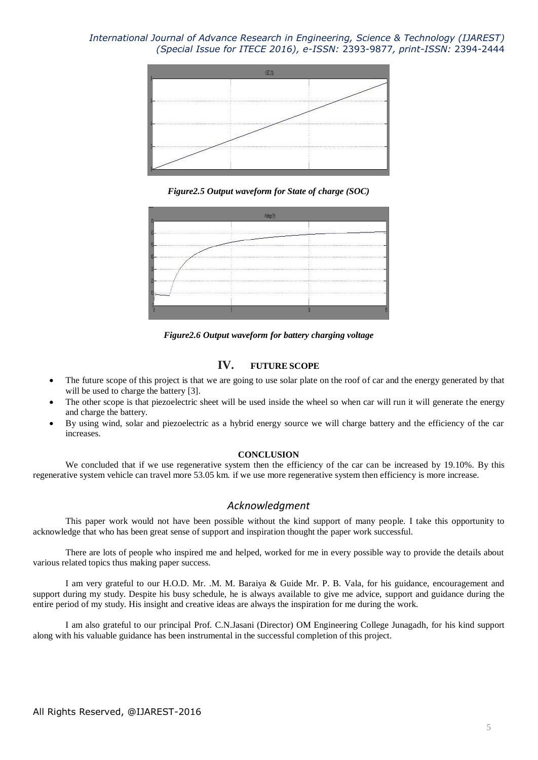

*Figure2.5 Output waveform for State of charge (SOC)*



*Figure2.6 Output waveform for battery charging voltage*

## **IV. FUTURE SCOPE**

- The future scope of this project is that we are going to use solar plate on the roof of car and the energy generated by that will be used to charge the battery [3].
- The other scope is that piezoelectric sheet will be used inside the wheel so when car will run it will generate the energy and charge the battery.
- By using wind, solar and piezoelectric as a hybrid energy source we will charge battery and the efficiency of the car increases.

#### **CONCLUSION**

We concluded that if we use regenerative system then the efficiency of the car can be increased by 19.10%. By this regenerative system vehicle can travel more 53.05 km. if we use more regenerative system then efficiency is more increase.

### *Acknowledgment*

This paper work would not have been possible without the kind support of many people. I take this opportunity to acknowledge that who has been great sense of support and inspiration thought the paper work successful.

There are lots of people who inspired me and helped, worked for me in every possible way to provide the details about various related topics thus making paper success.

I am very grateful to our H.O.D. Mr. .M. M. Baraiya & Guide Mr. P. B. Vala, for his guidance, encouragement and support during my study. Despite his busy schedule, he is always available to give me advice, support and guidance during the entire period of my study. His insight and creative ideas are always the inspiration for me during the work.

I am also grateful to our principal Prof. C.N.Jasani (Director) OM Engineering College Junagadh, for his kind support along with his valuable guidance has been instrumental in the successful completion of this project.